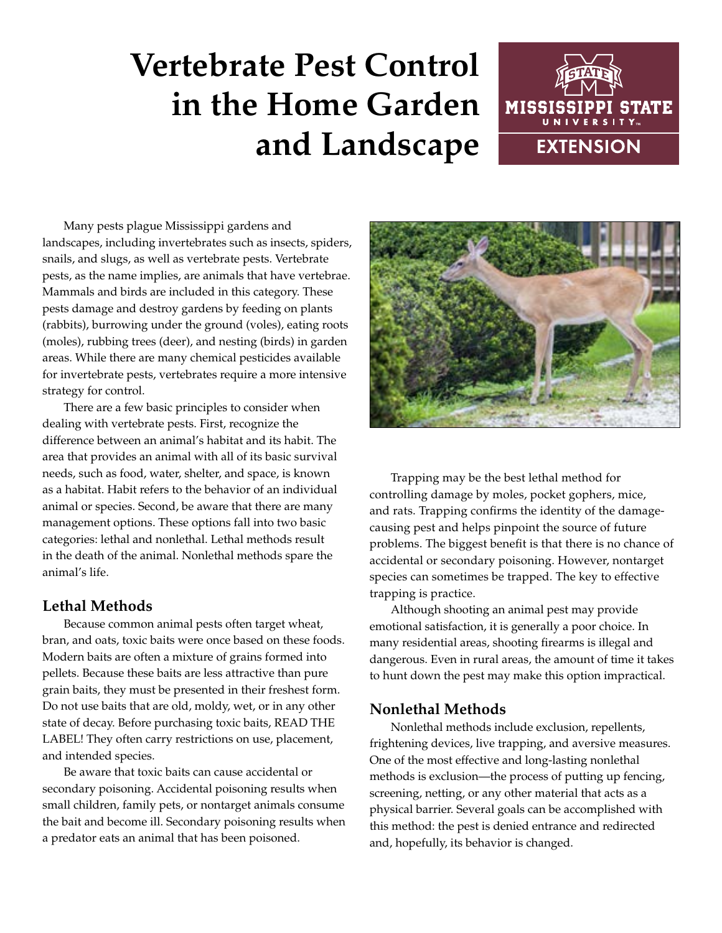# **Vertebrate Pest Control in the Home Garden and Landscape**



Many pests plague Mississippi gardens and landscapes, including invertebrates such as insects, spiders, snails, and slugs, as well as vertebrate pests. Vertebrate pests, as the name implies, are animals that have vertebrae. Mammals and birds are included in this category. These pests damage and destroy gardens by feeding on plants (rabbits), burrowing under the ground (voles), eating roots (moles), rubbing trees (deer), and nesting (birds) in garden areas. While there are many chemical pesticides available for invertebrate pests, vertebrates require a more intensive strategy for control.

There are a few basic principles to consider when dealing with vertebrate pests. First, recognize the difference between an animal's habitat and its habit. The area that provides an animal with all of its basic survival needs, such as food, water, shelter, and space, is known as a habitat. Habit refers to the behavior of an individual animal or species. Second, be aware that there are many management options. These options fall into two basic categories: lethal and nonlethal. Lethal methods result in the death of the animal. Nonlethal methods spare the animal's life.

## **Lethal Methods**

Because common animal pests often target wheat, bran, and oats, toxic baits were once based on these foods. Modern baits are often a mixture of grains formed into pellets. Because these baits are less attractive than pure grain baits, they must be presented in their freshest form. Do not use baits that are old, moldy, wet, or in any other state of decay. Before purchasing toxic baits, READ THE LABEL! They often carry restrictions on use, placement, and intended species.

Be aware that toxic baits can cause accidental or secondary poisoning. Accidental poisoning results when small children, family pets, or nontarget animals consume the bait and become ill. Secondary poisoning results when a predator eats an animal that has been poisoned.



Trapping may be the best lethal method for controlling damage by moles, pocket gophers, mice, and rats. Trapping confirms the identity of the damagecausing pest and helps pinpoint the source of future problems. The biggest benefit is that there is no chance of accidental or secondary poisoning. However, nontarget species can sometimes be trapped. The key to effective trapping is practice.

Although shooting an animal pest may provide emotional satisfaction, it is generally a poor choice. In many residential areas, shooting firearms is illegal and dangerous. Even in rural areas, the amount of time it takes to hunt down the pest may make this option impractical.

## **Nonlethal Methods**

Nonlethal methods include exclusion, repellents, frightening devices, live trapping, and aversive measures. One of the most effective and long-lasting nonlethal methods is exclusion—the process of putting up fencing, screening, netting, or any other material that acts as a physical barrier. Several goals can be accomplished with this method: the pest is denied entrance and redirected and, hopefully, its behavior is changed.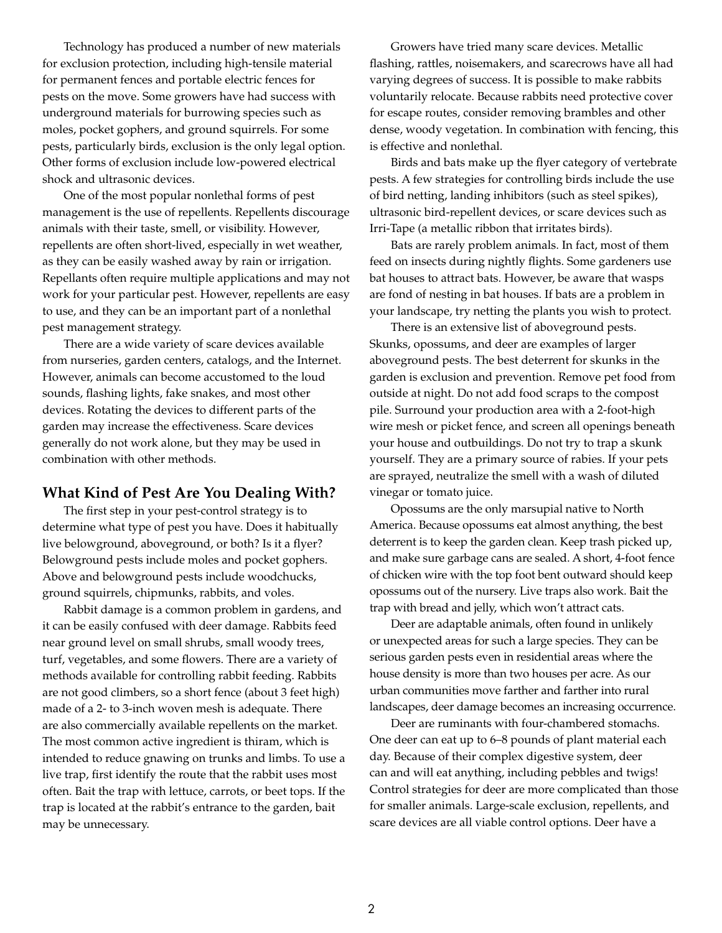Technology has produced a number of new materials for exclusion protection, including high-tensile material for permanent fences and portable electric fences for pests on the move. Some growers have had success with underground materials for burrowing species such as moles, pocket gophers, and ground squirrels. For some pests, particularly birds, exclusion is the only legal option. Other forms of exclusion include low-powered electrical shock and ultrasonic devices.

One of the most popular nonlethal forms of pest management is the use of repellents. Repellents discourage animals with their taste, smell, or visibility. However, repellents are often short-lived, especially in wet weather, as they can be easily washed away by rain or irrigation. Repellants often require multiple applications and may not work for your particular pest. However, repellents are easy to use, and they can be an important part of a nonlethal pest management strategy.

There are a wide variety of scare devices available from nurseries, garden centers, catalogs, and the Internet. However, animals can become accustomed to the loud sounds, flashing lights, fake snakes, and most other devices. Rotating the devices to different parts of the garden may increase the effectiveness. Scare devices generally do not work alone, but they may be used in combination with other methods.

#### **What Kind of Pest Are You Dealing With?**

The first step in your pest-control strategy is to determine what type of pest you have. Does it habitually live belowground, aboveground, or both? Is it a flyer? Belowground pests include moles and pocket gophers. Above and belowground pests include woodchucks, ground squirrels, chipmunks, rabbits, and voles.

Rabbit damage is a common problem in gardens, and it can be easily confused with deer damage. Rabbits feed near ground level on small shrubs, small woody trees, turf, vegetables, and some flowers. There are a variety of methods available for controlling rabbit feeding. Rabbits are not good climbers, so a short fence (about 3 feet high) made of a 2- to 3-inch woven mesh is adequate. There are also commercially available repellents on the market. The most common active ingredient is thiram, which is intended to reduce gnawing on trunks and limbs. To use a live trap, first identify the route that the rabbit uses most often. Bait the trap with lettuce, carrots, or beet tops. If the trap is located at the rabbit's entrance to the garden, bait may be unnecessary.

Growers have tried many scare devices. Metallic flashing, rattles, noisemakers, and scarecrows have all had varying degrees of success. It is possible to make rabbits voluntarily relocate. Because rabbits need protective cover for escape routes, consider removing brambles and other dense, woody vegetation. In combination with fencing, this is effective and nonlethal.

Birds and bats make up the flyer category of vertebrate pests. A few strategies for controlling birds include the use of bird netting, landing inhibitors (such as steel spikes), ultrasonic bird-repellent devices, or scare devices such as Irri-Tape (a metallic ribbon that irritates birds).

Bats are rarely problem animals. In fact, most of them feed on insects during nightly flights. Some gardeners use bat houses to attract bats. However, be aware that wasps are fond of nesting in bat houses. If bats are a problem in your landscape, try netting the plants you wish to protect.

There is an extensive list of aboveground pests. Skunks, opossums, and deer are examples of larger aboveground pests. The best deterrent for skunks in the garden is exclusion and prevention. Remove pet food from outside at night. Do not add food scraps to the compost pile. Surround your production area with a 2-foot-high wire mesh or picket fence, and screen all openings beneath your house and outbuildings. Do not try to trap a skunk yourself. They are a primary source of rabies. If your pets are sprayed, neutralize the smell with a wash of diluted vinegar or tomato juice.

Opossums are the only marsupial native to North America. Because opossums eat almost anything, the best deterrent is to keep the garden clean. Keep trash picked up, and make sure garbage cans are sealed. A short, 4-foot fence of chicken wire with the top foot bent outward should keep opossums out of the nursery. Live traps also work. Bait the trap with bread and jelly, which won't attract cats.

Deer are adaptable animals, often found in unlikely or unexpected areas for such a large species. They can be serious garden pests even in residential areas where the house density is more than two houses per acre. As our urban communities move farther and farther into rural landscapes, deer damage becomes an increasing occurrence.

Deer are ruminants with four-chambered stomachs. One deer can eat up to 6–8 pounds of plant material each day. Because of their complex digestive system, deer can and will eat anything, including pebbles and twigs! Control strategies for deer are more complicated than those for smaller animals. Large-scale exclusion, repellents, and scare devices are all viable control options. Deer have a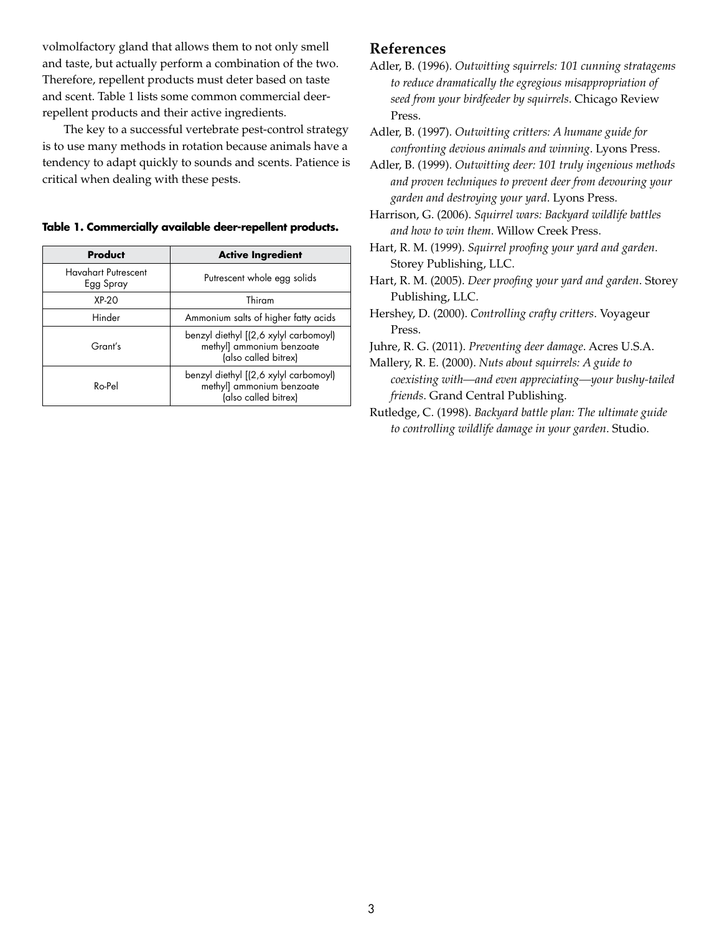volmolfactory gland that allows them to not only smell and taste, but actually perform a combination of the two. Therefore, repellent products must deter based on taste and scent. Table 1 lists some common commercial deerrepellent products and their active ingredients.

The key to a successful vertebrate pest-control strategy is to use many methods in rotation because animals have a tendency to adapt quickly to sounds and scents. Patience is critical when dealing with these pests.

| Table 1. Commercially available deer-repellent products. |  |  |  |
|----------------------------------------------------------|--|--|--|
|----------------------------------------------------------|--|--|--|

| Product                                 | <b>Active Ingredient</b>                                                                   |
|-----------------------------------------|--------------------------------------------------------------------------------------------|
| <b>Havahart Putrescent</b><br>Egg Spray | Putrescent whole egg solids                                                                |
| $XP-20$                                 | Thiram                                                                                     |
| Hinder                                  | Ammonium salts of higher fatty acids                                                       |
| Grant's                                 | benzyl diethyl [(2,6 xylyl carbomoyl)<br>methyl] ammonium benzoate<br>(also called bitrex) |
| $Ro$ -Pel                               | benzyl diethyl [(2,6 xylyl carbomoyl)<br>methyl] ammonium benzoate<br>(also called bitrex) |

#### **References**

Adler, B. (1996). *Outwitting squirrels: 101 cunning stratagems to reduce dramatically the egregious misappropriation of seed from your birdfeeder by squirrels*. Chicago Review Press.

Adler, B. (1997). *Outwitting critters: A humane guide for confronting devious animals and winning*. Lyons Press.

Adler, B. (1999). *Outwitting deer: 101 truly ingenious methods and proven techniques to prevent deer from devouring your garden and destroying your yard*. Lyons Press.

Harrison, G. (2006). *Squirrel wars: Backyard wildlife battles and how to win them*. Willow Creek Press.

- Hart, R. M. (1999). *Squirrel proofing your yard and garden*. Storey Publishing, LLC.
- Hart, R. M. (2005). *Deer proofing your yard and garden*. Storey Publishing, LLC.
- Hershey, D. (2000). *Controlling crafty critters*. Voyageur Press.
- Juhre, R. G. (2011). *Preventing deer damage*. Acres U.S.A.

Mallery, R. E. (2000). *Nuts about squirrels: A guide to coexisting with—and even appreciating—your bushy-tailed friends*. Grand Central Publishing.

Rutledge, C. (1998). *Backyard battle plan: The ultimate guide to controlling wildlife damage in your garden*. Studio.